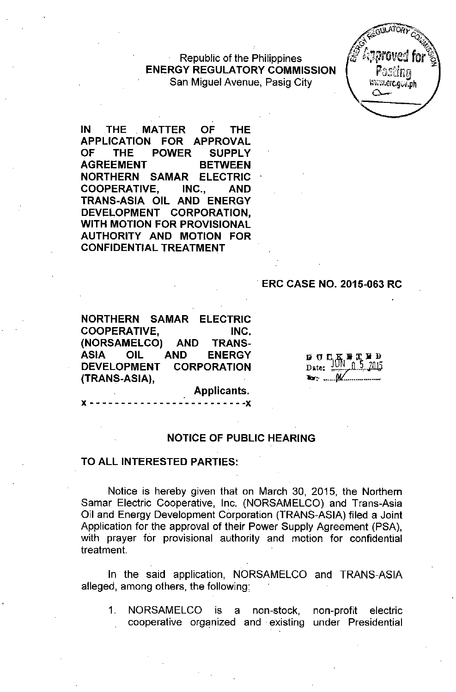Republic of the Philippines **ENERGY REGULATORY COMMISSION** San Miguel Avenue, Pasig City



**IN THE MATTER OF THE APPLICATION FOR APPROVAL OF THE POWER** SUPPLY **AGREEMENT BETWEEN NORTHERN SAMAR ELECTRIC COOPERATIVE, INC., AND TRANS-ASIA OIL AND ENERGY DEVELOPMENT CORPORATION, WITH MOTION FOR PROVISIONAL AUTHORITY AND MOTION FOR CONFIDENTIAL TREATMENT**

### **ERC CASE NO. 2015-063 RC**

NORTHERN SAMAR ELECTRIC **COOPERATIVE,** INC. (NORSAMELCO) **AND TRANS-ASIA OIL AND ENERGY DEVELOPMENT CORPORATION** (TRANS-ASIA).

 $\overrightarrow{B}$   $\overrightarrow{C}$   $\overrightarrow{C}$   $\overrightarrow{K}$   $\overrightarrow{H}$   $\overrightarrow{C}$   $\overrightarrow{B}$   $\overrightarrow{B}$   $\overrightarrow{B}$   $\overrightarrow{B}$   $\overrightarrow{B}$   $\overrightarrow{B}$   $\overrightarrow{B}$   $\overrightarrow{B}$   $\overrightarrow{B}$   $\overrightarrow{B}$   $\overrightarrow{B}$   $\overrightarrow{B}$   $\overrightarrow{B}$   $\overrightarrow{B}$   $\overrightarrow{B}$   $\overrightarrow{B}$   $\overrightarrow{B}$   $\overrightarrow{B}$   $\overrightarrow{$ Date:

**Applicants.** 

#### **NOTICE OF PUBLIC HEARING**

#### **TO ALL INTERESTED PARTIES:**

Notice is hereby given that on March 30, 2015, the Northern Samar Electric Cooperative, Inc. (NORSAMELCO) and Trans-Asia Oil and Energy Development Corporation (TRANS-ASIA) filed a Joint Application for the approval of their Power Supply Agreement (PSA), with prayer for provisional authority and motion for confidential treatment.

In the said application, NORSAMELCO and TRANS-ASIA alleged, among others, the following:

1. NORSAMELCO is a non-stock, non-profit electric cooperative organized and. existing under Presidential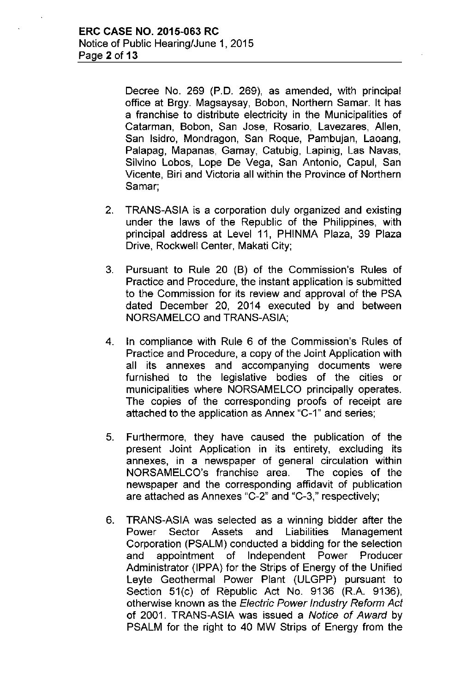Decree No. 269 (P.D. 269), as amended, with principal office at Brgy. Magsaysay, Bobon, Northern Samar. It has a franchise to distribute electricity in the Municipalities of Catarman, Bobon, San Jose, Rosario, Lavezares, Allen, San Isidro, Mondragon, San Roque, Pambujan, Laoang, Palapag, Mapanas, Gamay, Catubig, Lapinig, Las Navas, Silvino Lobos, Lope De Vega, San Antonio, Capul, San Vicente, Biri and Victoria all within the Province of Northern Samar;

- 2. TRANS-ASIA is a corporation duly organized and existing under the laws of the Republic of the Philippines, with principal address at Level 11, PHINMA Plaza, 39 Plaza Drive, Rockwell Center, Makati City;
- 3. Pursuant to Rule 20 (B) of the Commission's Rules of Practice and Procedure, the instant application is submitted to the Commission for its review and approval of the PSA dated December 20, 2014 executed by and between NORSAMELCO and TRANS-ASIA;
- 4. In compliance with Rule 6 of the Commission's Rules of Practice and Procedure, a copy of the Joint Application with all its annexes and accompanying documents were furnished to the legislative bodies of the cities or municipalities where NORSAMELCO principally operates. The copies of the corresponding proofs of receipt are attached to the application as Annex "C-1" and series;
- 5. Furthermore, they have caused the publication of the present Joint Application in its entirety, excluding its annexes, in a newspaper of general circulation within NORSAMELCO's franchise area. The copies of the newspaper and the corresponding affidavit of publication are attached as Annexes "C-2" and "C-3," respectively;
- 6. TRANS-ASIA was selected as a winning bidder after the Power Sector Assets and Liabilities Management Corporation (PSALM) conducted a bidding for the selection and appointment of Independent Power Producer Administrator (IPPA) for the Strips of Energy of the Unified Leyte Geothermal Power Plant (ULGPP) pursuant to Section 51(c) of Republic Act No. 9136 (R.A. 9136), otherwise known as the *Electric Power Industry Reform Act* of 2001. TRANS-ASIA was issued a *Notice* of *Award* by PSALM for the right to 40 MW Strips of Energy from the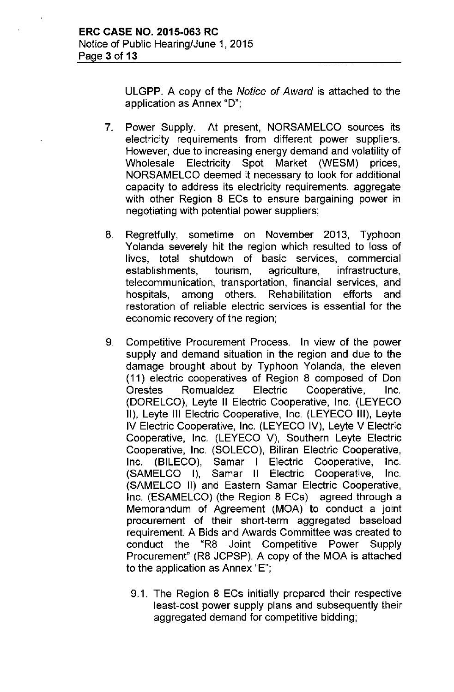ULGPP. A copy of the *Notice* of *Award* is attached to the application as Annex "D";

- 7. Power Supply. At present, NORSAMELCO sources its electricity requirements from different power suppliers. However, due to increasing energy demand and volatility of Wholesale Electricity Spot Market (WESM) prices, NORSAMELCO deemed it necessary to look for additional capacity to address its electricity requirements, aggregate with other Region 8 ECs to ensure bargaining power in negotiating with potential power suppliers;
- 8. Regretfully, sometime on November 2013, Typhoon Yolanda severely hit the region which resulted to loss of lives, total shutdown of basic services, commercial establishments, tourism, agriculture, infrastructure, telecommunication, transportation, financial services, and hospitals, among others. Rehabilitation efforts and restoration of reliable electric services is essential for the economic recovery of the region;
- 9. Competitive Procurement Process. In view of the power supply and demand situation in the region and due to the damage brought about by Typhoon Yolanda, the eleven (11) electric cooperatives of Region 8 composed of Don Orestes Romualdez Electric Cooperative, Inc. (DORELCO), Leyte II Electric Cooperative, Inc. (LEYECO II), Leyte III Electric Cooperative, Inc. (LEYECO III), Leyte IV Electric Cooperative, Inc. (LEYECO IV), Leyte V Electric Cooperative, Inc. (LEYECO V), Southern Leyte Electric Cooperative, Inc. (SOLECO), Biliran Electric Cooperative, Inc. (BILECO), Samar I Electric Cooperative, Inc. (SAMELCO I), Samar II Electric Cooperative, Inc. (SAMELCO II) and Eastern Samar Electric Cooperative, Inc. (ESAMELCO) (the Region 8 ECs) agreed through a Memorandum of Agreement (MOA) to conduct a joint procurement of their short-term aggregated baseload requirement. A Bids and Awards Committee was created to conduct the "R8 Joint Competitive Power Supply Procurement" (R8 JCPSP). A copy of the MOA is attached to the application as Annex "E";
	- 9.1. The Region 8 ECs initially prepared their respective least-cost power supply plans and subsequently their aggregated demand for competitive bidding;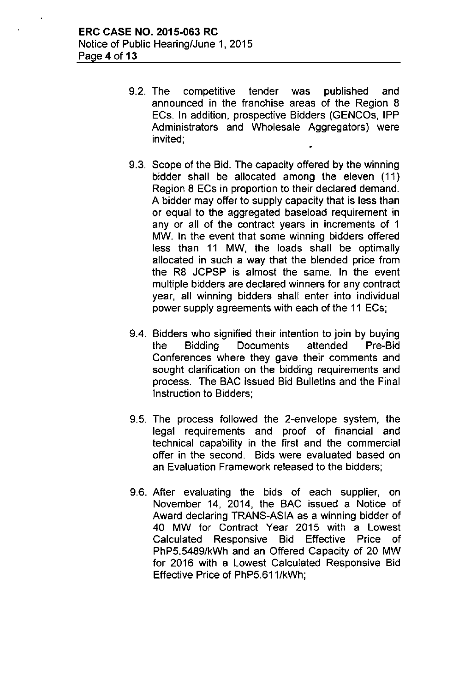- 9.2. The competitive tender was published and announced in the franchise areas of the Region 8 ECs. In addition, prospective Bidders (GENCOs, IPP Administrators and Wholesale Aggregators) were invited;
- 9.3. Scope of the Bid. The capacity offered by the winning bidder shall be allocated among the eleven (11) Region 8 ECs in proportion to their declared demand. A bidder may offer to supply capacity that is less than or equal to the aggregated baseload requirement in any or all of the contract years in increments of 1 MW. In the event that some winning bidders offered less than 11 MW, the loads shall be optimally allocated in such a way that the blended price from the R8 JCPSP is almost the same. In the event multiple bidders are declared winners for any contract year, all winning bidders shall enter into individual power supply agreements with each of the 11 ECs;
- 9.4. Bidders who signified their intention to join by buying the Bidding Documents attended Pre-Bid Conferences where they gave their comments and sought clarification on the bidding requirements and process. The BAC issued Bid Bulletins and the Final Instruction to Bidders;
- 9.5. The process followed the 2-envelope system, the legal requirements and proof of financial and technical capability in the first and the commercial offer in the second. Bids were evaluated based on an Evaluation Framework released to the bidders;
- 9.6. After evaluating the bids of each supplier, on November 14, 2014, the BAC issued a Notice of Award declaring TRANS-ASIA as a winning bidder of 40 MW for Contract Year 2015 with a Lowest Calculated Responsive Bid Effective Price of PhP5.5489/kWh and an Offered Capacity of 20 MW for 2016 with a Lowest Calculated Responsive Bid Effective Price of PhP5.611/kWh;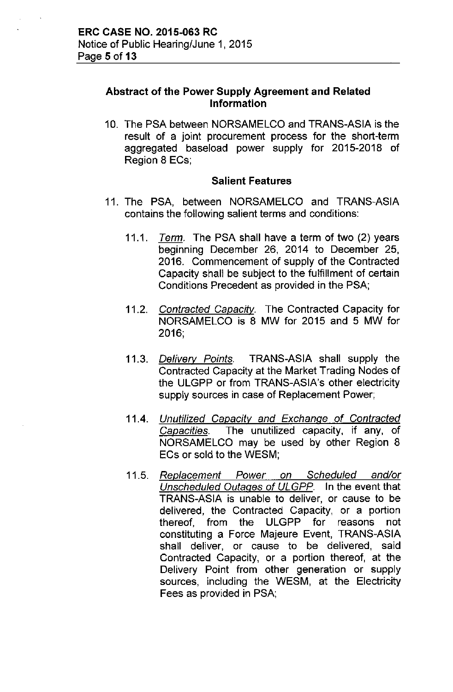## Abstract of the Power Supply Agreement and Related Information

10. The PSA between NORSAMELCO and TRANS-ASIA is the result of a joint procurement process for the short-term aggregated baseload power supply for 2015-2018 of Region 8 ECs:

### Salient Features

- 11. The PSA, between NORSAMELCO and TRANS-ASIA contains the following salient terms and conditions:
	- *11.1. Term.* The PSA shall have a term of two (2) years beginning December 26, 2014 to December 25, 2016. Commencement of supply of the Contracted Capacity shall be subject to the fulfillment of certain Conditions Precedent as provided in the PSA;
	- *11.2. Contracted Capacitv.* The Contracted Capacity for NORSAMELCO is 8 MW for 2015 and 5 MW for 2016;
	- *11.3. Delivery Points.* TRANS-ASIA shall supply the Contracted Capacity at the Market Trading Nodes of the ULGPP or from TRANS-ASIA's other electricity supply sources in case of Replacement Power;
	- 11.4. *Unutilized Capacitv and Exchange* of *Contracted Capacities.* The unutilized capacity, if any, of NORSAMELCO may be used by other Region 8 ECs or sold to the WESM;
	- *11.5. Replacement Power on Scheduled and/or Unscheduled Outages* of *ULGPP.* In the event that TRANS-ASIA is unable to deliver, or cause to be delivered, the Contracted Capacity, or a portion thereof, from the ULGPP for reasons not constituting a Force Majeure Event, TRANS-ASIA shall deliver, or cause to be delivered, said Contracted Capacity, or a portion thereof, at the Delivery Point from other generation or supply sources, including the WESM, at the Electricity Fees as provided in PSA;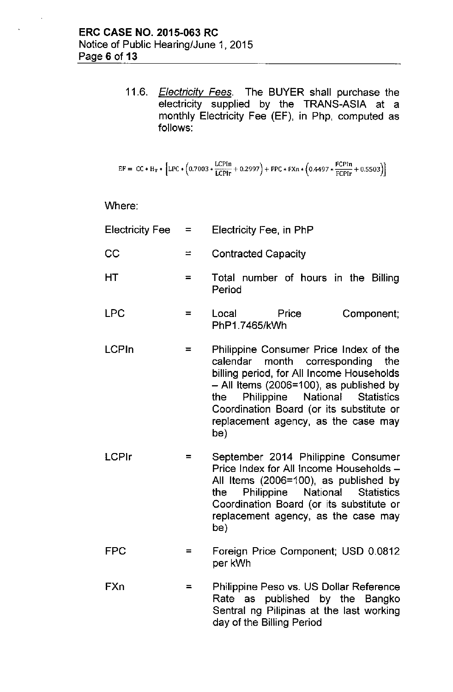*11.6. Electricity Fees.* The BUYER shall purchase the electricity supplied by the TRANS-ASIA at a monthly Electricity Fee (EF), in Php, computed as follows:

$$
EF = CC * H_T * [LPC * (0.7003 * \frac{LCPin}{LCPIr} + 0.2997) + FPC * FXn * (0.4497 * \frac{FCPin}{FCPIr} + 0.5503)]
$$

Where:

- Electricity Fee  $=$ Electricity Fee, in PhP
- $CC =$ Contracted Capacity
- $HT = Total number of hours in the Billing$ Period
- $LPC = Local$  Price PhP1.7465/kWh Component;
- LCPln = Philippine Consumer Price Index of the calendar month corresponding the billing period, for All Income Households  $-$  All Items (2006=100), as published by the Philippine National Statistics Coordination Board (or its substitute or replacement agency, as the case may be)
- LCPlr = September 2014 Philippine Consumer Price Index for All Income Households-All Items (2006=100), as published by the Philippine National Statistics Coordination Board (or its substitute or replacement agency, as the case may be)
	- FPC = Foreign Price Component; USD 0.0812 per kWh
- FXn = Philippine Peso vs. US Dollar Reference Rate as published by the Bangko Sentral ng Pilipinas at the last working day of the Billing Period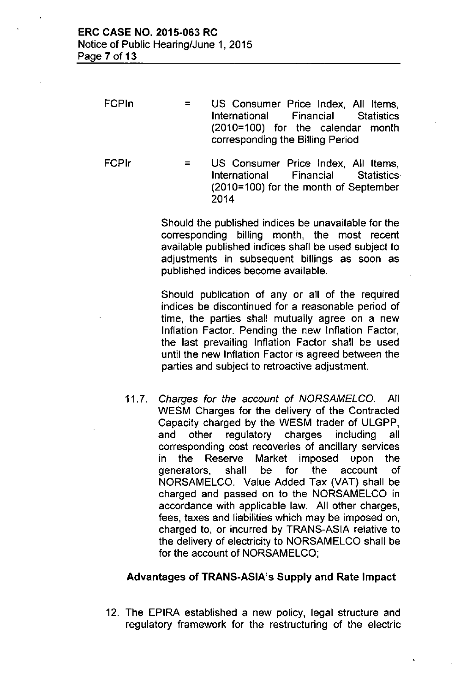- FCPln  $=$ US Consumer Price Index, All Items, International Financial Statistics (2010=100) for the calendar month corresponding the Billing Period
- FCPlr = US Consumer Price Index, All Items, International Financial Statistics (2010=100) for the month of September 2014

Should the published indices be unavailable for the corresponding billing month, the most recent available published indices shall be used subject to adjustments in subsequent billings as soon as published indices become available.

Should publication of any or all of the required indices be discontinued for a reasonable period of time, the parties shall mutually agree on a new Inflation Factor. Pending the new Inflation Factor, the last prevailing Inflation Factor shall be used until the new Inflation Factor is agreed between the parties and subject to retroactive adjustment.

11.7. Charges *for the account of NORSAMELCO.* All WESM Charges for the delivery of the Contracted Capacity charged by the WESM trader of ULGPP, and other regulatory charges including all corresponding cost recoveries of ancillary services in the Reserve Market imposed upon the generators, shall be for the account of NORSAMELCO. Value Added Tax (VAT) shall be charged and passed on to the NORSAMELCO in accordance with applicable law. All other charges, fees, taxes and liabilities which may be imposed on, charged to, or incurred by TRANS-ASIA relative to the delivery of electricity to NORSAMELCO shall be for the account of NORSAMELCO;

# Advantages of TRANS-ASIA's Supply and Rate Impact

12. The EPIRA established a new policy, legal structure and regulatory framework for the restructuring of the electric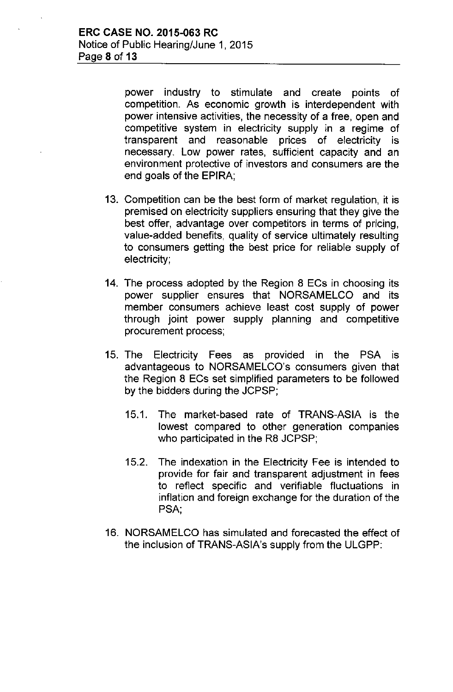power industry to stimulate and create points of competition. As economic growth is interdependent with power intensive activities, the necessity of a free, open and competitive system in electricity supply in a regime of transparent and reasonable prices of electricity is necessary. Low power rates, sufficient capacity and an environment protective of investors and consumers are the end goals of the EPIRA;

- 13. Competition can be the best form of market regulation, it is premised on electricity suppliers ensuring that they give the best offer, advantage over competitors in terms of pricing, value-added benefits, quality of service ultimately resulting to consumers getting the best price for reliable supply of electricity;
- 14. The process adopted by the Region 8 ECs in choosing its power supplier ensures that NORSAMELCO and its member consumers achieve least cost supply of power through joint power supply planning and competitive procurement process;
- 15. The Electricity Fees as provided in the PSA is advantageous to NORSAMELCO's consumers given that the Region 8 ECs set simplified parameters to be followed by the bidders during the JCPSP;
	- 15.1. The market-based rate of TRANS-ASIA is the lowest compared to other generation companies who participated in the R8 JCPSP;
	- 15.2. The indexation in the Electricity Fee is intended to provide for fair and transparent adjustment in fees to reflect specific and verifiable fluctuations in inflation and foreign exchange for the duration of the PSA:
- 16. NORSAMELCO has simulated and forecasted the effect of the inclusion of TRANS-ASIA's supply from the ULGPP: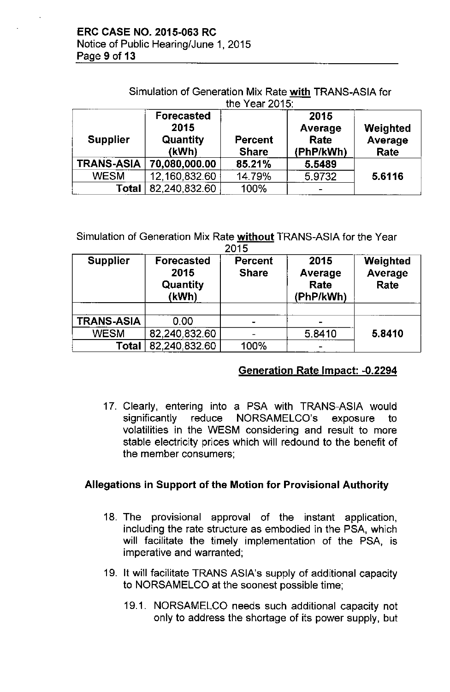Simulation of Generation Mix Rate with TRANS-ASIA for the Vest  $2015$ 

| the rear zulp.    |                                                       |                                |                                      |                             |  |  |
|-------------------|-------------------------------------------------------|--------------------------------|--------------------------------------|-----------------------------|--|--|
| <b>Supplier</b>   | <b>Forecasted</b><br>2015<br><b>Quantity</b><br>(kWh) | <b>Percent</b><br><b>Share</b> | 2015<br>Average<br>Rate<br>(PhP/kWh) | Weighted<br>Average<br>Rate |  |  |
| <b>TRANS-ASIA</b> | 70,080,000.00                                         | 85.21%                         | 5.5489                               |                             |  |  |
| <b>WESM</b>       | 12,160,832.60                                         | 14.79%                         | 5.9732                               | 5.6116                      |  |  |
| Total             | 82,240,832.60                                         | 100%                           |                                      |                             |  |  |

Simulation of Generation Mix Rate without TRANS-ASIA for the Year

| 2015              |                                                |                                |                                      |                             |  |  |
|-------------------|------------------------------------------------|--------------------------------|--------------------------------------|-----------------------------|--|--|
| <b>Supplier</b>   | <b>Forecasted</b><br>2015<br>Quantity<br>(kWh) | <b>Percent</b><br><b>Share</b> | 2015<br>Average<br>Rate<br>(PhP/kWh) | Weighted<br>Average<br>Rate |  |  |
|                   |                                                |                                |                                      |                             |  |  |
| <b>TRANS-ASIA</b> | 0.00                                           |                                |                                      |                             |  |  |
| <b>WESM</b>       | 82,240,832.60                                  |                                | 5.8410                               | 5.8410                      |  |  |
| Total             | 82,240,832.60                                  | 100%                           |                                      |                             |  |  |

# Generation Rate Impact: .0.2294

17. Clearly, entering into a PSA with TRANS-ASIA would significantly reduce NORSAMELCO's exposure to volatilities in the WESM considering and result to more stable electricity prices which will redound to the benefit of the member consumers;

# Allegations in Support of the Motion for Provisional Authority

- 18. The provisional approval of the instant application, including the rate structure as embodied in the PSA, which will facilitate the timely implementation of the PSA, is imperative and warranted;
- 19. It will facilitate TRANS ASIA's supply of additional capacity to NORSAMELCO at the soonest possible time;
	- 19.1. NORSAMELCO needs such additional capacity not only to address the shortage of its power supply, but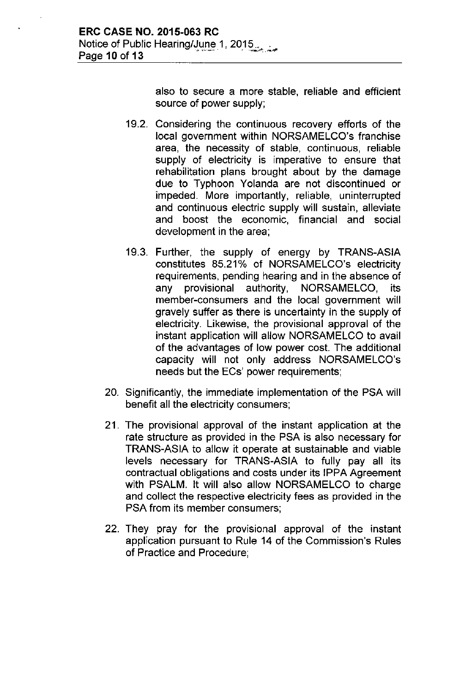also to secure a more stable, reliable and efficient source of power supply;

- 19.2. Considering the continuous recovery efforts of the local government within NORSAMELCO's franchise area, the necessity of stable, continuous, reliable supply of electricity is imperative to ensure that rehabilitation plans brought about by the damage due to Typhoon Yolanda are not discontinued or impeded, More importantly, reliable, uninterrupted and continuous electric supply will sustain, alleviate and boost the economic, financial and social development in the area;
- 19.3. Further, the supply of energy by TRANS-ASIA constitutes 85.21% of NORSAMELCO's electricity requirements, pending hearing and in the absence of any provisional authority, NORSAMELCO, its member-consumers and the local government will gravely suffer as there is uncertainty in the supply of electricity. Likewise, the provisional approval of the instant application will allow NORSAMELCO to avail of the advantages of low power cost. The additional capacity will not only address NORSAMELCO's needs but the ECs' power requirements;
- 20. Significantly, the immediate implementation of the PSA will benefit all the electricity consumers;
- 21. The provisional approval of the instant application at the rate structure as provided in the PSA is also necessary for TRANS-ASIA to allow it operate at sustainable and viable levels necessary for TRANS-ASIA to fully pay all its contractual obligations and costs under its IPPA Agreement with PSALM. **It** will also allow NORSAMELCO to charge and collect the respective electricity fees as provided in the PSA from its member consumers;
- 22. They pray for the provisional approval of the instant application pursuant to Rule 14 of the Commission's Rules of Practice and Procedure;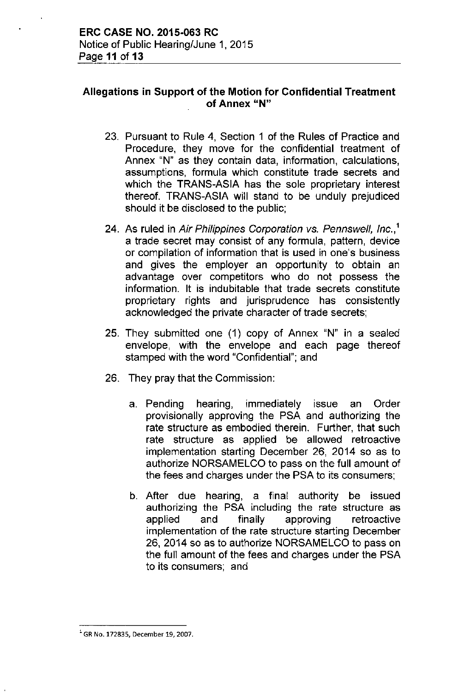## **Allegations in Support of the Motion for Confidential Treatment of Annex "N"**

- 23. Pursuant to Rule 4, Section 1 of the Rules of Practice and Procedure, they move for the confidential treatment of Annex "N" as they contain data, information, calculations, assumptions, formula which constitute trade secrets and which the TRANS-ASIA has the sole proprietary interest thereof. TRANS-ASIA will stand to be unduly prejudiced should it be disclosed to the public;
- 24. As ruled in *Air Philippines Corporation vs. Pennswell, Inc.,'* a trade secret may consist of any formula, pattern, device or compilation of information that is used in one's business and gives the employer an opportunity to obtain an advantage over competitors who do not possess the information. It is indubitable that trade secrets constitute proprietary rights and jurisprudence has consistently acknowledged the private character of trade secrets;
- 25. They submitted one (1) copy of Annex "N" in a sealed envelope, with the envelope and each page thereof stamped with the word "Confidential"; and
- 26. They pray that the Commission:
	- a. Pending hearing, immediately issue an Order provisionally approving the PSA and authorizing the rate structure as embodied therein. Further, that such rate structure as applied be allowed retroactive implementation starting December 26, 2014 so as to authorize NORSAMELCO to pass on the full amount of the fees and charges under the PSA to its consumers;
	- b. After due hearing, a final authority be issued authorizing the PSA including the rate structure as applied and finally approving retroactive implementation of the rate structure starting December 26, 2014 so as to authorize NORSAMELCO to pass on the full amount of the fees and charges under the PSA to its consumers; and

<sup>1</sup>**GR** No. 172835, **December 19, 2007.**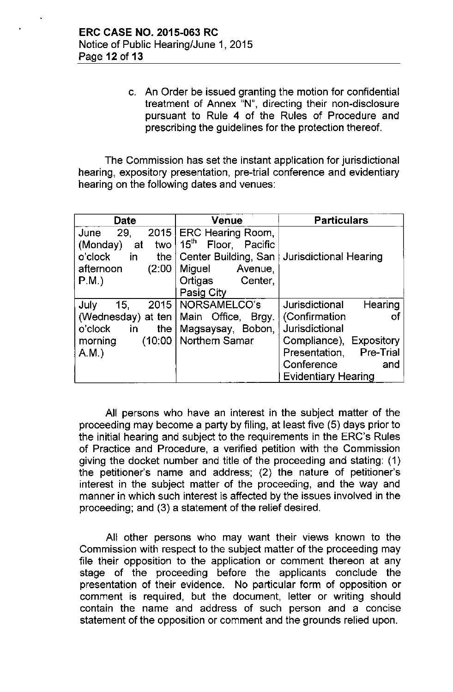c. An Order be issued granting the motion for confidential treatment of Annex "N", directing their non-disclosure pursuant to Rule 4 of the Rules of Procedure and prescribing the guidelines for the protection thereof.

The Commission has set the instant application for jurisdictional hearing, expository presentation, pre-trial conference and evidentiary hearing on the following dates and venues:

| <b>Date</b>              | <b>Venue</b>                       | <b>Particulars</b>            |  |
|--------------------------|------------------------------------|-------------------------------|--|
| 29.<br>2015<br>June      | <b>ERC Hearing Room.</b>           |                               |  |
| (Monday)<br>two  <br>at  | $15^{\text{th}}$<br>Floor, Pacific |                               |  |
| o'clock<br>the<br>in     | Center Building, San               | <b>Jurisdictional Hearing</b> |  |
| afternoon<br>(2:00)      | Avenue,<br>Miguel                  |                               |  |
| $P.M.$ )                 | Ortigas<br>Center,                 |                               |  |
|                          | Pasig City                         |                               |  |
| 2015<br>July<br>15.      | NORSAMELCO's                       | Hearing<br>Jurisdictional     |  |
| (Wednesday) at ten       | Main Office,<br>Brgy.              | (Confirmation<br>Ωt           |  |
| o'clock<br>the $ $<br>in | Magsaysay, Bobon,                  | Jurisdictional                |  |
| (10:00)<br>morning       | Northern Samar                     | Compliance), Expository       |  |
| $A.M.$ )                 |                                    | Pre-Trial<br>Presentation,    |  |
|                          |                                    | Conference<br>and             |  |
|                          |                                    | <b>Evidentiary Hearing</b>    |  |

All persons who have an interest in the subject matter of the proceeding may become a party by filing, at least five (5) days prior to the initial hearing and subject to the requirements in the ERC's Rules of Practice and Procedure, a verified petition with the Commission giving the docket number and title of the proceeding and stating: (1) the petitioner's name and address; (2) the nature of petitioner's interest in the subject matter of the proceeding, and the way and manner in which such interest is affected by the issues involved in the proceeding; and (3) a statement of the relief desired.

All other persons who may want their views known to the Commission with respect to the subject matter of the proceeding may file their opposition to the application or comment thereon at any stage of the proceeding before the applicants conclude the presentation of their evidence. No particular form of opposition or comment is required, but the document, letter or writing should contain the name and address of such person and a concise statement of the opposition or comment and the grounds relied upon.